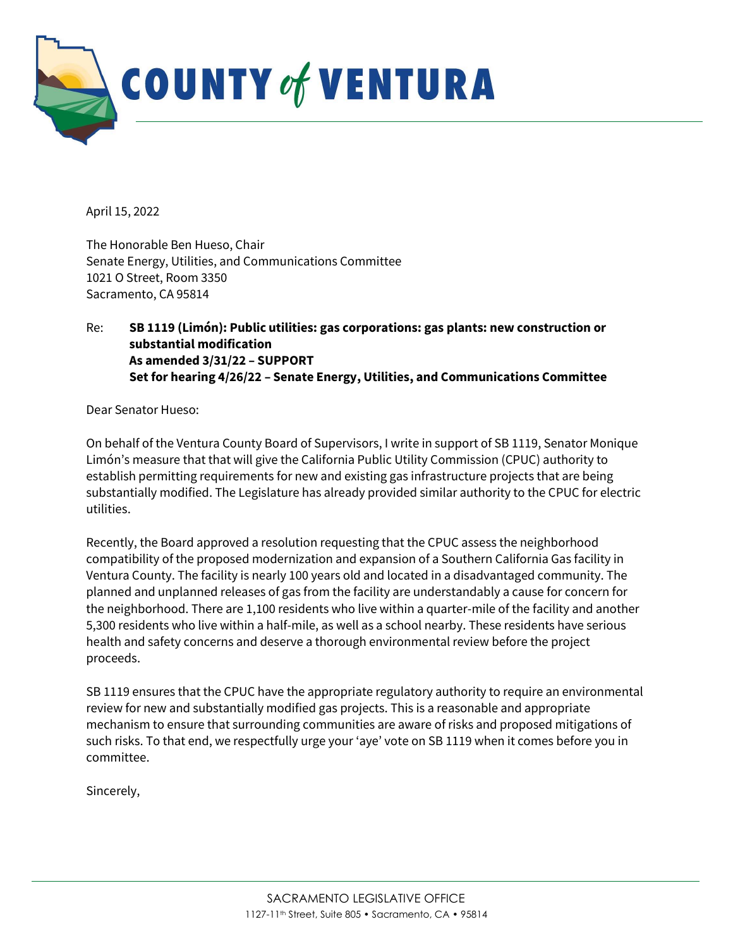

April 15, 2022

The Honorable Ben Hueso, Chair Senate Energy, Utilities, and Communications Committee 1021 O Street, Room 3350 Sacramento, CA 95814

## Re: SB 1119 (Limón): Public utilities: gas corporations: gas plants: new construction or substantial modification As amended 3/31/22 – SUPPORT Set for hearing 4/26/22 – Senate Energy, Utilities, and Communications Committee

Dear Senator Hueso:

On behalf of the Ventura County Board of Supervisors, I write in support of SB 1119, Senator Monique Limón's measure that that will give the California Public Utility Commission (CPUC) authority to establish permitting requirements for new and existing gas infrastructure projects that are being substantially modified. The Legislature has already provided similar authority to the CPUC for electric utilities.

Recently, the Board approved a resolution requesting that the CPUC assess the neighborhood compatibility of the proposed modernization and expansion of a Southern California Gas facility in Ventura County. The facility is nearly 100 years old and located in a disadvantaged community. The planned and unplanned releases of gas from the facility are understandably a cause for concern for the neighborhood. There are 1,100 residents who live within a quarter-mile of the facility and another 5,300 residents who live within a half-mile, as well as a school nearby. These residents have serious health and safety concerns and deserve a thorough environmental review before the project proceeds.

SB 1119 ensures that the CPUC have the appropriate regulatory authority to require an environmental review for new and substantially modified gas projects. This is a reasonable and appropriate mechanism to ensure that surrounding communities are aware of risks and proposed mitigations of such risks. To that end, we respectfully urge your 'aye' vote on SB 1119 when it comes before you in committee.

Sincerely,